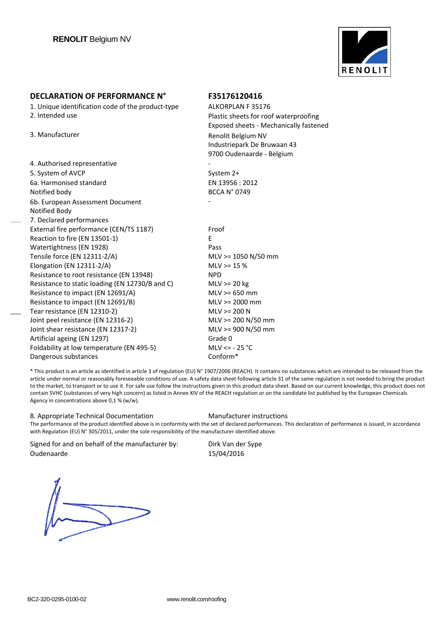

1. Unique identification code of the product-type ALKORPLAN F 35176

| 4. Authorised representative                    |                     |
|-------------------------------------------------|---------------------|
| 5. System of AVCP                               | System 2+           |
| 6a. Harmonised standard                         | EN 13956 : 2012     |
| Notified body                                   | <b>BCCA N° 0749</b> |
| 6b. European Assessment Document                |                     |
| Notified Body                                   |                     |
| 7. Declared performances                        |                     |
| External fire performance (CEN/TS 1187)         | Froof               |
| Reaction to fire (EN 13501-1)                   | F                   |
| Watertightness (EN 1928)                        | Pass                |
| Tensile force (EN 12311-2/A)                    | $MLV > = 1050 N/S$  |
| Elongation (EN 12311-2/A)                       | $MLV > = 15%$       |
| Resistance to root resistance (EN 13948)        | <b>NPD</b>          |
| Resistance to static loading (EN 12730/B and C) | $MLV \ge 20$ kg     |
| Resistance to impact (EN 12691/A)               | $MLV > = 650$ mm    |
| Resistance to impact (EN 12691/B)               | $MLV > = 2000$ mn   |
| Tear resistance (EN 12310-2)                    | $MLV$ >= 200 N      |
| Joint peel resistance (EN 12316-2)              | $MLV$ >= 200 N/50   |
| Joint shear resistance (EN 12317-2)             | $MLV$ >= 900 N/50   |
| Artificial ageing (EN 1297)                     | Grade 0             |
| Foldability at low temperature (EN 495-5)       | MLV $\le$ - 25 °C   |
| Dangerous substances                            | Conform*            |

2. Intended use Plastic sheets for roof waterproofing Exposed sheets ‐ Mechanically fastened 3. Manufacturer and a state of the Renolit Belgium NV Industriepark De Bruwaan 43 9700 Oudenaarde ‐ Belgium

> Pass **Pass Pass Pass Pass Pass Pass Pass Pass Pass Pass Pass Pass Pass Pass Pass Pass Pass Pass Pass Pass Pass Pass Pass Pass Pass Pass Pass Pass Pass Pass Pass**  $50 \text{ mm}$ NPD  $MLV \geq 20$  kg MLV >= 2000 mm  $0 \text{ mm}$  $0 \text{ mm}$ Conform\*

\* This product is an article as identified in article 3 of regulation (EU) N° 1907/2006 (REACH). It contains no substances which are intended to be released from the article under normal or reasonably foreseeable conditions of use. A safety data sheet following article 31 of the same regulation is not needed to bring the product to the market, to transport or to use it. For safe use follow the instructions given in this product data sheet. Based on our current knowledge, this product does not contain SVHC (substances of very high concern) as listed in Annex XIV of the REACH regulation or on the candidate list published by the European Chemicals Agency in concentrations above 0,1 % (w/w).

### 8. Appropriate Technical Documentation Manufacturer instructions

The performance of the product identified above is in conformity with the set of declared performances. This declaration of performance is issued, in accordance with Regulation (EU) N° 305/2011, under the sole responsibility of the manufacturer identified above.

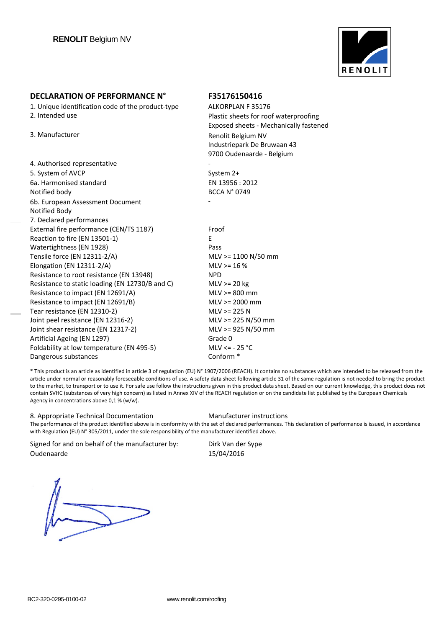

1. Unique identification code of the product-type ALKORPLAN F 35176 2. Intended use Plastic sheets for roof waterproofing

3. Manufacturer and a state of the Renolit Belgium NV

| 4. Authorised representative                    |                       |
|-------------------------------------------------|-----------------------|
| 5. System of AVCP                               | System 2+             |
| 6a. Harmonised standard                         | EN 13956 : 2012       |
| Notified body                                   | <b>BCCA N° 0749</b>   |
| 6b. European Assessment Document                |                       |
| Notified Body                                   |                       |
| 7. Declared performances                        |                       |
| External fire performance (CEN/TS 1187)         | Froof                 |
| Reaction to fire (EN 13501-1)                   | E                     |
| Watertightness (EN 1928)                        | Pass                  |
| Tensile force (EN 12311-2/A)                    | $MLV$ >= 1100 N/50 mm |
| Elongation (EN 12311-2/A)                       | $MLV > = 16%$         |
| Resistance to root resistance (EN 13948)        | <b>NPD</b>            |
| Resistance to static loading (EN 12730/B and C) | $MLV \ge 20 kg$       |
| Resistance to impact (EN 12691/A)               | $MLV > = 800$ mm      |
| Resistance to impact (EN 12691/B)               | $MLV > = 2000$ mm     |
| Tear resistance (EN 12310-2)                    | $MLV$ >= 225 N        |
| Joint peel resistance (EN 12316-2)              | $MLV$ >= 225 N/50 mm  |
| Joint shear resistance (EN 12317-2)             | MLV >= 925 N/50 mm    |
| Artificial Ageing (EN 1297)                     | Grade 0               |
| Foldability at low temperature (EN 495-5)       | MLV $\le$ - 25 °C     |
| Dangerous substances                            | Conform <sup>*</sup>  |

\* This product is an article as identified in article 3 of regulation (EU) N° 1907/2006 (REACH). It contains no substances which are intended to be released from the article under normal or reasonably foreseeable conditions of use. A safety data sheet following article 31 of the same regulation is not needed to bring the product to the market, to transport or to use it. For safe use follow the instructions given in this product data sheet. Based on our current knowledge, this product does not contain SVHC (substances of very high concern) as listed in Annex XIV of the REACH regulation or on the candidate list published by the European Chemicals Agency in concentrations above 0,1 % (w/w).

### 8. Appropriate Technical Documentation Manufacturer instructions

Exposed sheets ‐ Mechanically fastened

Industriepark De Bruwaan 43 9700 Oudenaarde ‐ Belgium

The performance of the product identified above is in conformity with the set of declared performances. This declaration of performance is issued, in accordance with Regulation (EU) N° 305/2011, under the sole responsibility of the manufacturer identified above.

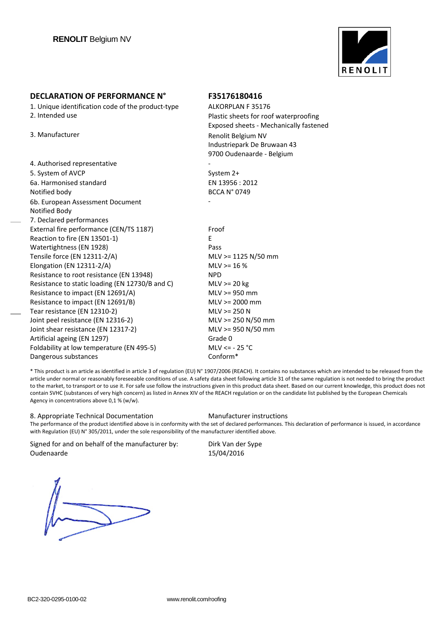

1. Unique identification code of the product-type ALKORPLAN F 35176 2. Intended use Plastic sheets for roof waterproofing

3. Manufacturer and a state of the Renolit Belgium NV

| 4. Authorised representative                    |                       |
|-------------------------------------------------|-----------------------|
| 5. System of AVCP                               | System 2+             |
| 6a. Harmonised standard                         | EN 13956 : 2012       |
| Notified body                                   | <b>BCCA N° 0749</b>   |
| 6b. European Assessment Document                |                       |
| Notified Body                                   |                       |
| 7. Declared performances                        |                       |
| External fire performance (CEN/TS 1187)         | Froof                 |
| Reaction to fire (EN 13501-1)                   | E                     |
| Watertightness (EN 1928)                        | Pass                  |
| Tensile force (EN 12311-2/A)                    | MLV >= 1125 N/50 mm   |
| Elongation (EN 12311-2/A)                       | $MLV > = 16%$         |
| Resistance to root resistance (EN 13948)        | <b>NPD</b>            |
| Resistance to static loading (EN 12730/B and C) | $MLV \ge 20$ kg       |
| Resistance to impact (EN 12691/A)               | $MLV \ge 950$ mm      |
| Resistance to impact (EN 12691/B)               | $MLV > = 2000$ mm     |
| Tear resistance (EN 12310-2)                    | $MLV > = 250 N$       |
| Joint peel resistance (EN 12316-2)              | $MLV \ge 250 N/50 mm$ |
| Joint shear resistance (EN 12317-2)             | MLV >= 950 N/50 mm    |
| Artificial ageing (EN 1297)                     | Grade 0               |
| Foldability at low temperature (EN 495-5)       | MLV $\le$ - 25 °C     |
| Dangerous substances                            | Conform*              |

\* This product is an article as identified in article 3 of regulation (EU) N° 1907/2006 (REACH). It contains no substances which are intended to be released from the article under normal or reasonably foreseeable conditions of use. A safety data sheet following article 31 of the same regulation is not needed to bring the product to the market, to transport or to use it. For safe use follow the instructions given in this product data sheet. Based on our current knowledge, this product does not contain SVHC (substances of very high concern) as listed in Annex XIV of the REACH regulation or on the candidate list published by the European Chemicals Agency in concentrations above 0,1 % (w/w).

### 8. Appropriate Technical Documentation Manufacturer instructions

Exposed sheets ‐ Mechanically fastened

Industriepark De Bruwaan 43 9700 Oudenaarde ‐ Belgium

The performance of the product identified above is in conformity with the set of declared performances. This declaration of performance is issued, in accordance with Regulation (EU) N° 305/2011, under the sole responsibility of the manufacturer identified above.